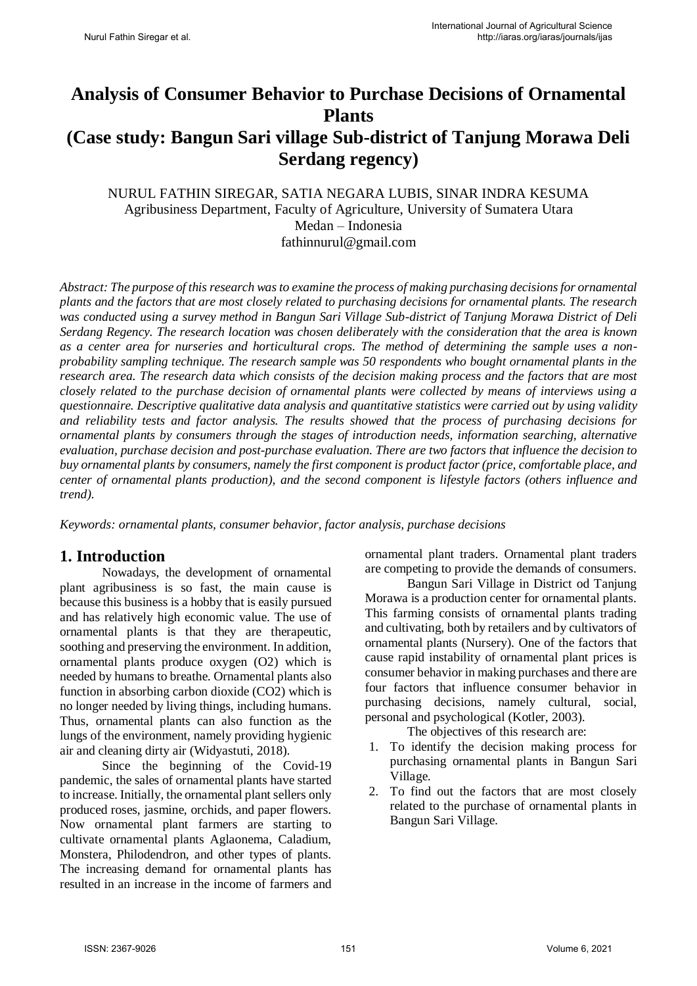# **Analysis of Consumer Behavior to Purchase Decisions of Ornamental Plants (Case study: Bangun Sari village Sub-district of Tanjung Morawa Deli Serdang regency)**

#### NURUL FATHIN SIREGAR, SATIA NEGARA LUBIS, SINAR INDRA KESUMA Agribusiness Department, Faculty of Agriculture, University of Sumatera Utara Medan – Indonesia fathinnurul@gmail.com

*Abstract: The purpose of this research was to examine the process of making purchasing decisions for ornamental plants and the factors that are most closely related to purchasing decisions for ornamental plants. The research was conducted using a survey method in Bangun Sari Village Sub-district of Tanjung Morawa District of Deli Serdang Regency. The research location was chosen deliberately with the consideration that the area is known as a center area for nurseries and horticultural crops. The method of determining the sample uses a nonprobability sampling technique. The research sample was 50 respondents who bought ornamental plants in the research area. The research data which consists of the decision making process and the factors that are most closely related to the purchase decision of ornamental plants were collected by means of interviews using a questionnaire. Descriptive qualitative data analysis and quantitative statistics were carried out by using validity and reliability tests and factor analysis. The results showed that the process of purchasing decisions for ornamental plants by consumers through the stages of introduction needs, information searching, alternative evaluation, purchase decision and post-purchase evaluation. There are two factors that influence the decision to buy ornamental plants by consumers, namely the first component is product factor (price, comfortable place, and center of ornamental plants production), and the second component is lifestyle factors (others influence and trend).*

*Keywords: ornamental plants, consumer behavior, factor analysis, purchase decisions* 

# **1. Introduction**

Nowadays, the development of ornamental plant agribusiness is so fast, the main cause is because this business is a hobby that is easily pursued and has relatively high economic value. The use of ornamental plants is that they are therapeutic, soothing and preserving the environment. In addition, ornamental plants produce oxygen (O2) which is needed by humans to breathe. Ornamental plants also function in absorbing carbon dioxide (CO2) which is no longer needed by living things, including humans. Thus, ornamental plants can also function as the lungs of the environment, namely providing hygienic air and cleaning dirty air (Widyastuti, 2018).

Since the beginning of the Covid-19 pandemic, the sales of ornamental plants have started to increase. Initially, the ornamental plant sellers only produced roses, jasmine, orchids, and paper flowers. Now ornamental plant farmers are starting to cultivate ornamental plants Aglaonema, Caladium, Monstera, Philodendron, and other types of plants. The increasing demand for ornamental plants has resulted in an increase in the income of farmers and ornamental plant traders. Ornamental plant traders are competing to provide the demands of consumers.

Bangun Sari Village in District od Tanjung Morawa is a production center for ornamental plants. This farming consists of ornamental plants trading and cultivating, both by retailers and by cultivators of ornamental plants (Nursery). One of the factors that cause rapid instability of ornamental plant prices is consumer behavior in making purchases and there are four factors that influence consumer behavior in purchasing decisions, namely cultural, social, personal and psychological (Kotler, 2003).

The objectives of this research are:

- 1. To identify the decision making process for purchasing ornamental plants in Bangun Sari Village.
- 2. To find out the factors that are most closely related to the purchase of ornamental plants in Bangun Sari Village.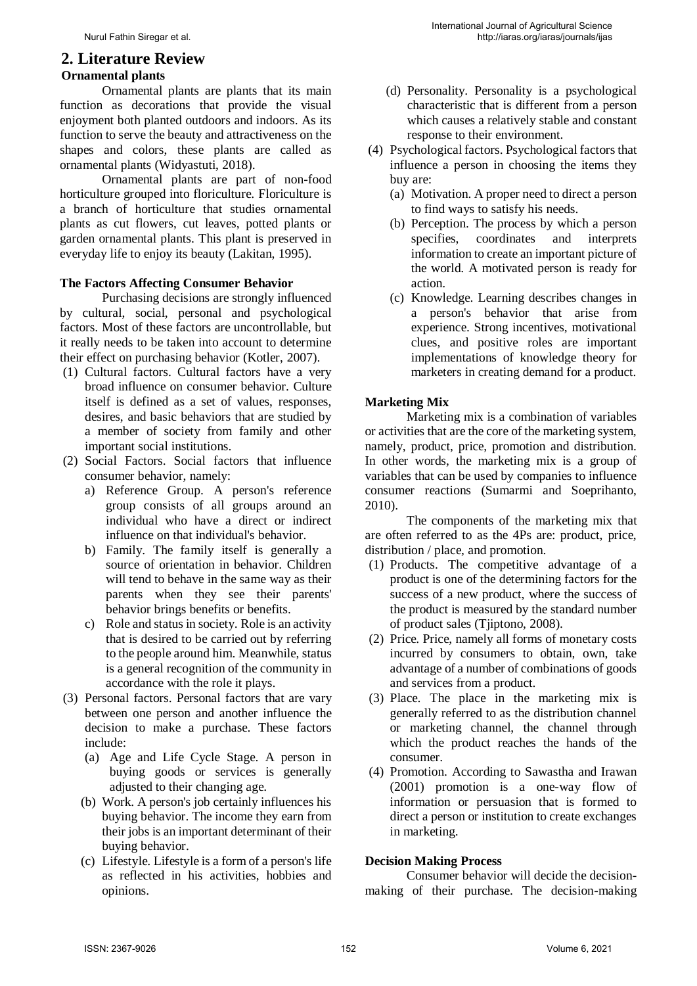# **2. Literature Review**

#### **Ornamental plants**

Ornamental plants are plants that its main function as decorations that provide the visual enjoyment both planted outdoors and indoors. As its function to serve the beauty and attractiveness on the shapes and colors, these plants are called as ornamental plants (Widyastuti, 2018).

Ornamental plants are part of non-food horticulture grouped into floriculture. Floriculture is a branch of horticulture that studies ornamental plants as cut flowers, cut leaves, potted plants or garden ornamental plants. This plant is preserved in everyday life to enjoy its beauty (Lakitan, 1995).

#### **The Factors Affecting Consumer Behavior**

Purchasing decisions are strongly influenced by cultural, social, personal and psychological factors. Most of these factors are uncontrollable, but it really needs to be taken into account to determine their effect on purchasing behavior (Kotler, 2007).

- (1) Cultural factors. Cultural factors have a very broad influence on consumer behavior. Culture itself is defined as a set of values, responses, desires, and basic behaviors that are studied by a member of society from family and other important social institutions.
- (2) Social Factors. Social factors that influence consumer behavior, namely:
	- a) Reference Group. A person's reference group consists of all groups around an individual who have a direct or indirect influence on that individual's behavior.
	- b) Family. The family itself is generally a source of orientation in behavior. Children will tend to behave in the same way as their parents when they see their parents' behavior brings benefits or benefits.
	- c) Role and status in society. Role is an activity that is desired to be carried out by referring to the people around him. Meanwhile, status is a general recognition of the community in accordance with the role it plays.
- (3) Personal factors. Personal factors that are vary between one person and another influence the decision to make a purchase. These factors include:
	- (a) Age and Life Cycle Stage. A person in buying goods or services is generally adjusted to their changing age.
	- (b) Work. A person's job certainly influences his buying behavior. The income they earn from their jobs is an important determinant of their buying behavior.
	- (c) Lifestyle. Lifestyle is a form of a person's life as reflected in his activities, hobbies and opinions.
- (d) Personality. Personality is a psychological characteristic that is different from a person which causes a relatively stable and constant response to their environment.
- (4) Psychological factors. Psychological factors that influence a person in choosing the items they buy are:
	- (a) Motivation. A proper need to direct a person to find ways to satisfy his needs.
	- (b) Perception. The process by which a person specifies, coordinates and interprets information to create an important picture of the world. A motivated person is ready for action.
	- (c) Knowledge. Learning describes changes in a person's behavior that arise from experience. Strong incentives, motivational clues, and positive roles are important implementations of knowledge theory for marketers in creating demand for a product.

#### **Marketing Mix**

Marketing mix is a combination of variables or activities that are the core of the marketing system, namely, product, price, promotion and distribution. In other words, the marketing mix is a group of variables that can be used by companies to influence consumer reactions (Sumarmi and Soeprihanto, 2010).

The components of the marketing mix that are often referred to as the 4Ps are: product, price, distribution / place, and promotion.

- (1) Products. The competitive advantage of a product is one of the determining factors for the success of a new product, where the success of the product is measured by the standard number of product sales (Tjiptono, 2008).
- (2) Price. Price, namely all forms of monetary costs incurred by consumers to obtain, own, take advantage of a number of combinations of goods and services from a product.
- (3) Place. The place in the marketing mix is generally referred to as the distribution channel or marketing channel, the channel through which the product reaches the hands of the consumer.
- (4) Promotion. According to Sawastha and Irawan (2001) promotion is a one-way flow of information or persuasion that is formed to direct a person or institution to create exchanges in marketing.

#### **Decision Making Process**

Consumer behavior will decide the decisionmaking of their purchase. The decision-making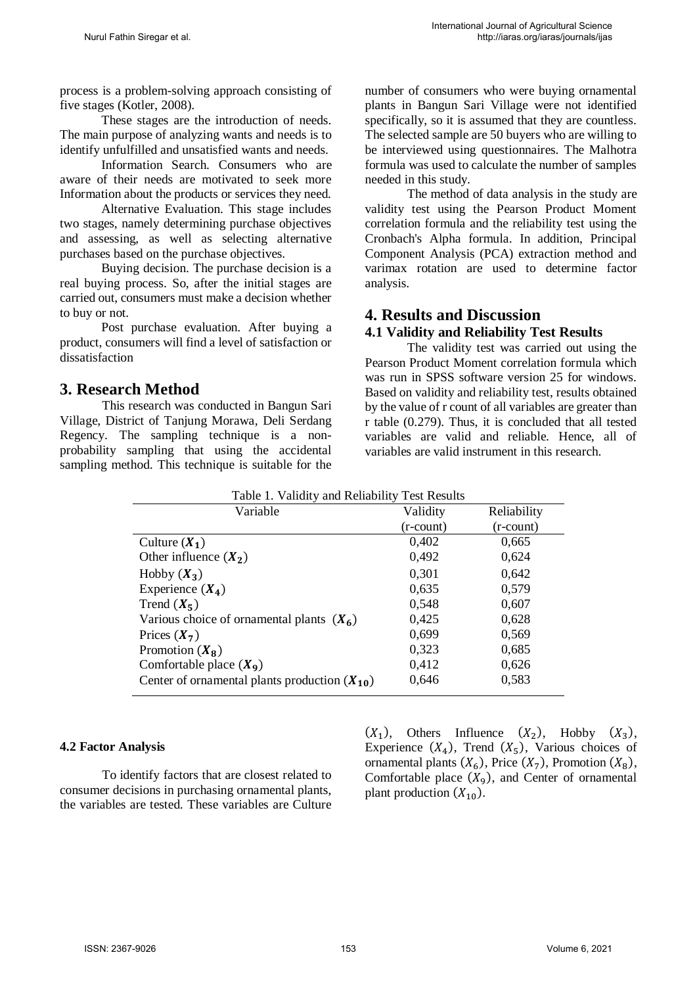process is a problem-solving approach consisting of five stages (Kotler, 2008).

These stages are the introduction of needs. The main purpose of analyzing wants and needs is to identify unfulfilled and unsatisfied wants and needs.

Information Search. Consumers who are aware of their needs are motivated to seek more Information about the products or services they need.

Alternative Evaluation. This stage includes two stages, namely determining purchase objectives and assessing, as well as selecting alternative purchases based on the purchase objectives.

Buying decision. The purchase decision is a real buying process. So, after the initial stages are carried out, consumers must make a decision whether to buy or not.

Post purchase evaluation. After buying a product, consumers will find a level of satisfaction or dissatisfaction

# **3. Research Method**

This research was conducted in Bangun Sari Village, District of Tanjung Morawa, Deli Serdang Regency. The sampling technique is a nonprobability sampling that using the accidental sampling method. This technique is suitable for the number of consumers who were buying ornamental plants in Bangun Sari Village were not identified specifically, so it is assumed that they are countless. The selected sample are 50 buyers who are willing to be interviewed using questionnaires. The Malhotra formula was used to calculate the number of samples needed in this study.

The method of data analysis in the study are validity test using the Pearson Product Moment correlation formula and the reliability test using the Cronbach's Alpha formula. In addition, Principal Component Analysis (PCA) extraction method and varimax rotation are used to determine factor analysis.

# **4. Results and Discussion**

## **4.1 Validity and Reliability Test Results**

The validity test was carried out using the Pearson Product Moment correlation formula which was run in SPSS software version 25 for windows. Based on validity and reliability test, results obtained by the value of r count of all variables are greater than r table (0.279). Thus, it is concluded that all tested variables are valid and reliable. Hence, all of variables are valid instrument in this research.

| Table 1. Validity and Reliability Test Results    |              |              |
|---------------------------------------------------|--------------|--------------|
| Variable                                          | Validity     | Reliability  |
|                                                   | $(r$ -count) | $(r$ -count) |
| Culture $(X_1)$                                   | 0,402        | 0,665        |
| Other influence $(X_2)$                           | 0,492        | 0.624        |
| Hobby $(X_3)$                                     | 0,301        | 0.642        |
| Experience $(X_4)$                                | 0,635        | 0,579        |
| Trend $(X_5)$                                     | 0,548        | 0,607        |
| Various choice of ornamental plants $(X_6)$       | 0,425        | 0,628        |
| Prices $(X_7)$                                    | 0,699        | 0,569        |
| Promotion $(X_8)$                                 | 0,323        | 0,685        |
| Comfortable place $(X_9)$                         | 0,412        | 0,626        |
| Center of ornamental plants production $(X_{10})$ | 0,646        | 0,583        |

#### **4.2 Factor Analysis**

To identify factors that are closest related to consumer decisions in purchasing ornamental plants, the variables are tested. These variables are Culture

 $(X_1)$ , Others Influence  $(X_2)$ , Hobby  $(X_3)$ , Experience  $(X_4)$ , Trend  $(X_5)$ , Various choices of ornamental plants  $(X_6)$ , Price  $(X_7)$ , Promotion  $(X_8)$ , Comfortable place  $(X_9)$ , and Center of ornamental plant production  $(X_{10})$ .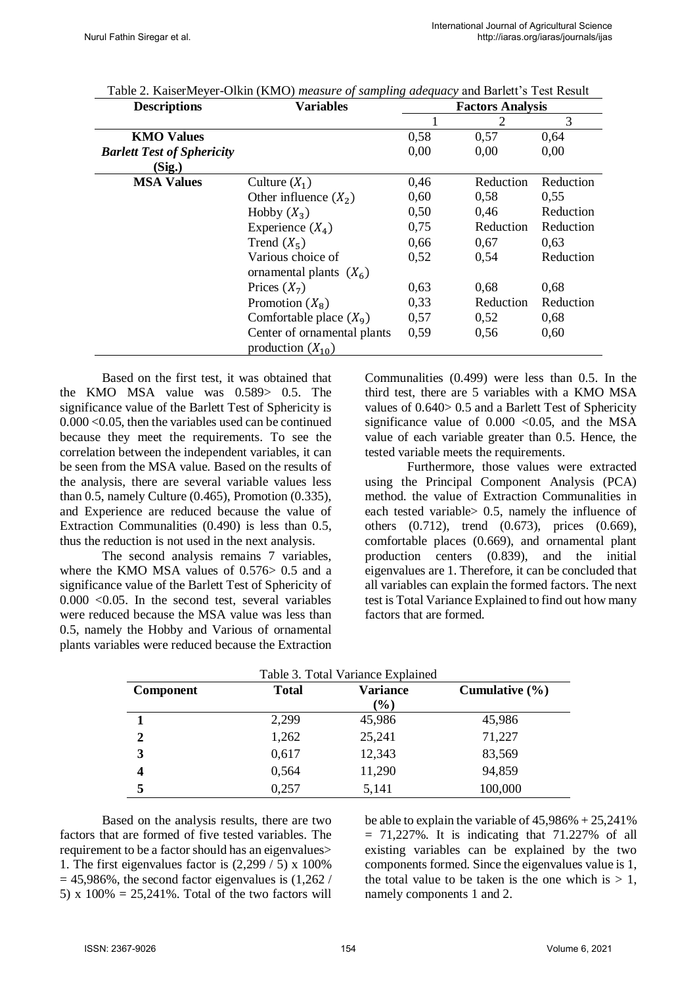| <b>Descriptions</b>               | <b>Variables</b>            | <b>Factors Analysis</b> |           |           |
|-----------------------------------|-----------------------------|-------------------------|-----------|-----------|
|                                   |                             |                         | 2         | 3         |
| <b>KMO Values</b>                 |                             | 0,58                    | 0,57      | 0,64      |
| <b>Barlett Test of Sphericity</b> |                             | 0,00                    | 0.00      | 0,00      |
| (Sig.)                            |                             |                         |           |           |
| <b>MSA Values</b>                 | Culture $(X_1)$             | 0,46                    | Reduction | Reduction |
|                                   | Other influence $(X_2)$     | 0,60                    | 0,58      | 0,55      |
|                                   | Hobby $(X_3)$               | 0,50                    | 0.46      | Reduction |
|                                   | Experience $(X_4)$          | 0,75                    | Reduction | Reduction |
|                                   | Trend $(X_5)$               | 0,66                    | 0,67      | 0.63      |
|                                   | Various choice of           | 0,52                    | 0.54      | Reduction |
|                                   | ornamental plants $(X_6)$   |                         |           |           |
|                                   | Prices $(X_7)$              | 0,63                    | 0,68      | 0,68      |
|                                   | Promotion $(X_8)$           | 0,33                    | Reduction | Reduction |
|                                   | Comfortable place $(X_9)$   | 0,57                    | 0,52      | 0,68      |
|                                   | Center of ornamental plants | 0,59                    | 0,56      | 0,60      |
|                                   | production $(X_{10})$       |                         |           |           |

Table 2. KaiserMeyer-Olkin (KMO) *measure of sampling adequacy* and Barlett's Test Result

Based on the first test, it was obtained that the KMO MSA value was 0.589> 0.5. The significance value of the Barlett Test of Sphericity is 0.000 <0.05, then the variables used can be continued because they meet the requirements. To see the correlation between the independent variables, it can be seen from the MSA value. Based on the results of the analysis, there are several variable values less than 0.5, namely Culture (0.465), Promotion (0.335), and Experience are reduced because the value of Extraction Communalities (0.490) is less than 0.5, thus the reduction is not used in the next analysis.

The second analysis remains 7 variables, where the KMO MSA values of 0.576> 0.5 and a significance value of the Barlett Test of Sphericity of  $0.000$  <  $0.05$ . In the second test, several variables were reduced because the MSA value was less than 0.5, namely the Hobby and Various of ornamental plants variables were reduced because the Extraction Communalities (0.499) were less than 0.5. In the third test, there are 5 variables with a KMO MSA values of 0.640> 0.5 and a Barlett Test of Sphericity significance value of  $0.000 < 0.05$ , and the MSA value of each variable greater than 0.5. Hence, the tested variable meets the requirements.

Furthermore, those values were extracted using the Principal Component Analysis (PCA) method. the value of Extraction Communalities in each tested variable> 0.5, namely the influence of others (0.712), trend (0.673), prices (0.669), comfortable places (0.669), and ornamental plant production centers (0.839), and the initial eigenvalues are 1. Therefore, it can be concluded that all variables can explain the formed factors. The next test is Total Variance Explained to find out how many factors that are formed.

| Table 3. Total Variance Explained |              |                 |                    |
|-----------------------------------|--------------|-----------------|--------------------|
| <b>Component</b>                  | <b>Total</b> | <b>Variance</b> | Cumulative $(\% )$ |
|                                   |              | $(\%)$          |                    |
|                                   | 2,299        | 45,986          | 45,986             |
| 2                                 | 1,262        | 25,241          | 71,227             |
| 3                                 | 0,617        | 12,343          | 83,569             |
| 4                                 | 0,564        | 11,290          | 94,859             |
|                                   | 0,257        | 5,141           | 100,000            |

Based on the analysis results, there are two factors that are formed of five tested variables. The requirement to be a factor should has an eigenvalues> 1. The first eigenvalues factor is  $(2,299 / 5) \times 100\%$  $= 45.986\%$ , the second factor eigenvalues is  $(1.262 /$ 5) x  $100\% = 25.241\%$ . Total of the two factors will

be able to explain the variable of 45,986% + 25,241%  $= 71,227\%$ . It is indicating that  $71.227\%$  of all existing variables can be explained by the two components formed. Since the eigenvalues value is 1, the total value to be taken is the one which is  $> 1$ . namely components 1 and 2.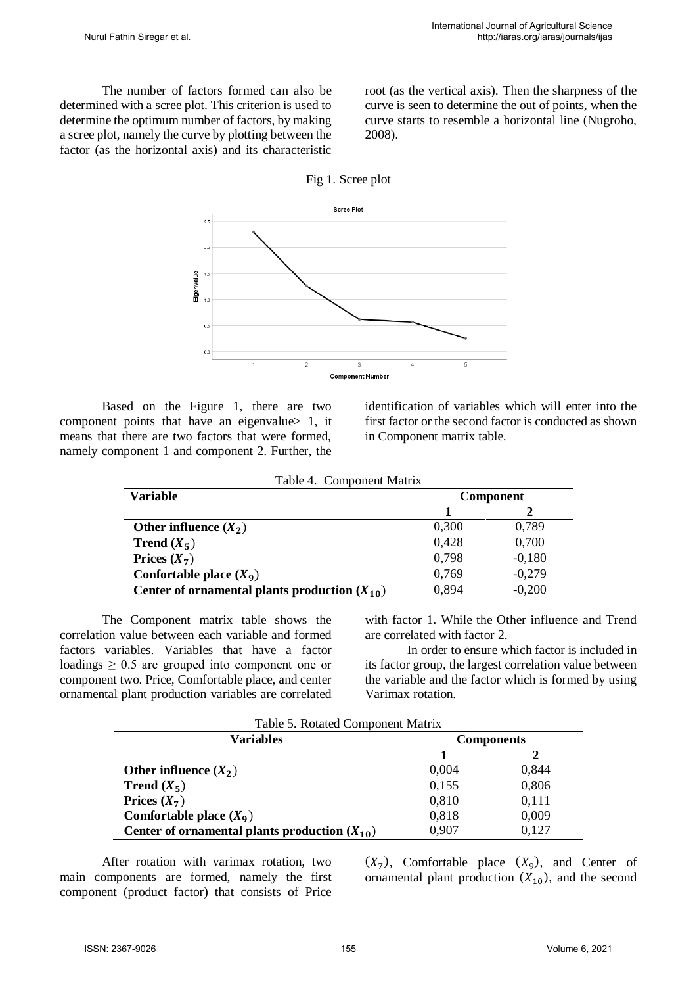The number of factors formed can also be determined with a scree plot. This criterion is used to determine the optimum number of factors, by making a scree plot, namely the curve by plotting between the factor (as the horizontal axis) and its characteristic root (as the vertical axis). Then the sharpness of the curve is seen to determine the out of points, when the curve starts to resemble a horizontal line (Nugroho, 2008).





Based on the Figure 1, there are two component points that have an eigenvalue 1, it means that there are two factors that were formed, namely component 1 and component 2. Further, the

identification of variables which will enter into the first factor or the second factor is conducted as shown in Component matrix table.

| Table 4. Component Matrix |
|---------------------------|
|                           |

| <b>Variable</b>                                   | Component |          |
|---------------------------------------------------|-----------|----------|
|                                                   |           |          |
| Other influence $(X_2)$                           | 0,300     | 0,789    |
| <b>Trend</b> $(X_5)$                              | 0,428     | 0,700    |
| Prices $(X_7)$                                    | 0.798     | $-0,180$ |
| Confortable place $(X_9)$                         | 0,769     | $-0,279$ |
| Center of ornamental plants production $(X_{10})$ | 0,894     | $-0,200$ |

The Component matrix table shows the correlation value between each variable and formed factors variables. Variables that have a factor loadings  $\geq 0.5$  are grouped into component one or component two. Price, Comfortable place, and center ornamental plant production variables are correlated

with factor 1. While the Other influence and Trend are correlated with factor 2.

In order to ensure which factor is included in its factor group, the largest correlation value between the variable and the factor which is formed by using Varimax rotation.

| Table 5. Rotated Component Matrix                 |                   |       |
|---------------------------------------------------|-------------------|-------|
| Variables                                         | <b>Components</b> |       |
|                                                   |                   |       |
| Other influence $(X_2)$                           | 0,004             | 0,844 |
| <b>Trend</b> $(X_5)$                              | 0,155             | 0,806 |
| Prices $(X_7)$                                    | 0,810             | 0,111 |
| Comfortable place $(X_9)$                         | 0,818             | 0,009 |
| Center of ornamental plants production $(X_{10})$ | 0,907             | 0,127 |

After rotation with varimax rotation, two main components are formed, namely the first component (product factor) that consists of Price

 $(X_7)$ , Comfortable place  $(X_9)$ , and Center of ornamental plant production  $(X_{10})$ , and the second